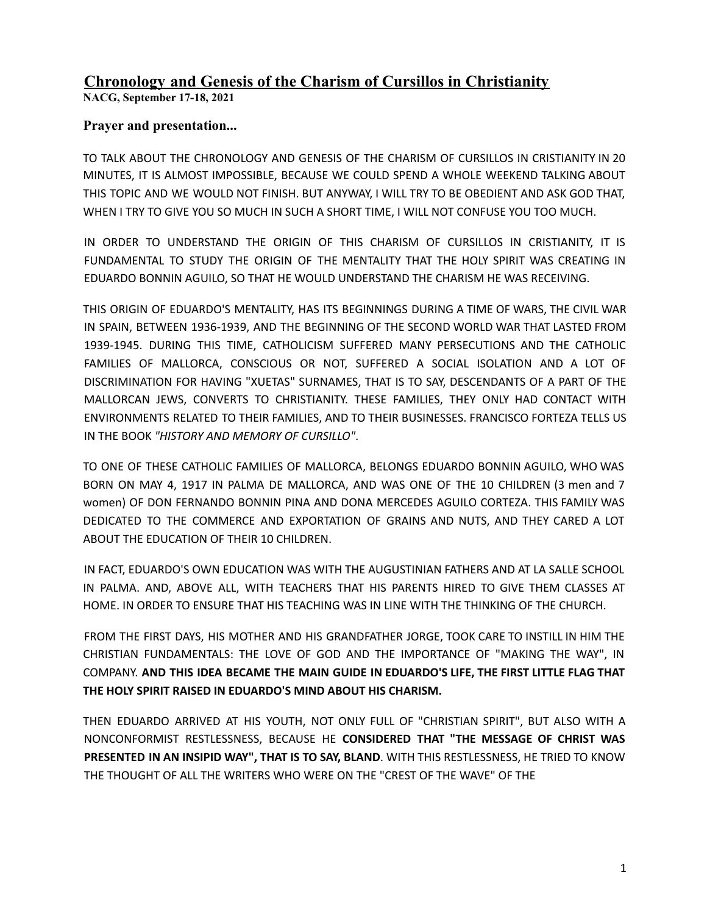# **Chronology and Genesis of the Charism of Cursillos in Christianity**

**NACG, September 17-18, 2021**

### **Prayer and presentation...**

TO TALK ABOUT THE CHRONOLOGY AND GENESIS OF THE CHARISM OF CURSILLOS IN CRISTIANITY IN 20 MINUTES, IT IS ALMOST IMPOSSIBLE, BECAUSE WE COULD SPEND A WHOLE WEEKEND TALKING ABOUT THIS TOPIC AND WE WOULD NOT FINISH. BUT ANYWAY, I WILL TRY TO BE OBEDIENT AND ASK GOD THAT, WHEN I TRY TO GIVE YOU SO MUCH IN SUCH A SHORT TIME, I WILL NOT CONFUSE YOU TOO MUCH.

IN ORDER TO UNDERSTAND THE ORIGIN OF THIS CHARISM OF CURSILLOS IN CRISTIANITY, IT IS FUNDAMENTAL TO STUDY THE ORIGIN OF THE MENTALITY THAT THE HOLY SPIRIT WAS CREATING IN EDUARDO BONNIN AGUILO, SO THAT HE WOULD UNDERSTAND THE CHARISM HE WAS RECEIVING.

THIS ORIGIN OF EDUARDO'S MENTALITY, HAS ITS BEGINNINGS DURING A TIME OF WARS, THE CIVIL WAR IN SPAIN, BETWEEN 1936-1939, AND THE BEGINNING OF THE SECOND WORLD WAR THAT LASTED FROM 1939-1945. DURING THIS TIME, CATHOLICISM SUFFERED MANY PERSECUTIONS AND THE CATHOLIC FAMILIES OF MALLORCA, CONSCIOUS OR NOT, SUFFERED A SOCIAL ISOLATION AND A LOT OF DISCRIMINATION FOR HAVING "XUETAS" SURNAMES, THAT IS TO SAY, DESCENDANTS OF A PART OF THE MALLORCAN JEWS, CONVERTS TO CHRISTIANITY. THESE FAMILIES, THEY ONLY HAD CONTACT WITH ENVIRONMENTS RELATED TO THEIR FAMILIES, AND TO THEIR BUSINESSES. FRANCISCO FORTEZA TELLS US IN THE BOOK *"HISTORY AND MEMORY OF CURSILLO"*.

TO ONE OF THESE CATHOLIC FAMILIES OF MALLORCA, BELONGS EDUARDO BONNIN AGUILO, WHO WAS BORN ON MAY 4, 1917 IN PALMA DE MALLORCA, AND WAS ONE OF THE 10 CHILDREN (3 men and 7 women) OF DON FERNANDO BONNIN PINA AND DONA MERCEDES AGUILO CORTEZA. THIS FAMILY WAS DEDICATED TO THE COMMERCE AND EXPORTATION OF GRAINS AND NUTS, AND THEY CARED A LOT ABOUT THE EDUCATION OF THEIR 10 CHILDREN.

IN FACT, EDUARDO'S OWN EDUCATION WAS WITH THE AUGUSTINIAN FATHERS AND AT LA SALLE SCHOOL IN PALMA. AND, ABOVE ALL, WITH TEACHERS THAT HIS PARENTS HIRED TO GIVE THEM CLASSES AT HOME. IN ORDER TO ENSURE THAT HIS TEACHING WAS IN LINE WITH THE THINKING OF THE CHURCH.

FROM THE FIRST DAYS, HIS MOTHER AND HIS GRANDFATHER JORGE, TOOK CARE TO INSTILL IN HIM THE CHRISTIAN FUNDAMENTALS: THE LOVE OF GOD AND THE IMPORTANCE OF "MAKING THE WAY", IN COMPANY. **AND THIS IDEA BECAME THE MAIN GUIDE IN EDUARDO'S LIFE, THE FIRST LITTLE FLAG THAT THE HOLY SPIRIT RAISED IN EDUARDO'S MIND ABOUT HIS CHARISM.**

THEN EDUARDO ARRIVED AT HIS YOUTH, NOT ONLY FULL OF "CHRISTIAN SPIRIT", BUT ALSO WITH A NONCONFORMIST RESTLESSNESS, BECAUSE HE **CONSIDERED THAT "THE MESSAGE OF CHRIST WAS PRESENTED IN AN INSIPID WAY", THAT IS TO SAY, BLAND**. WITH THIS RESTLESSNESS, HE TRIED TO KNOW THE THOUGHT OF ALL THE WRITERS WHO WERE ON THE "CREST OF THE WAVE" OF THE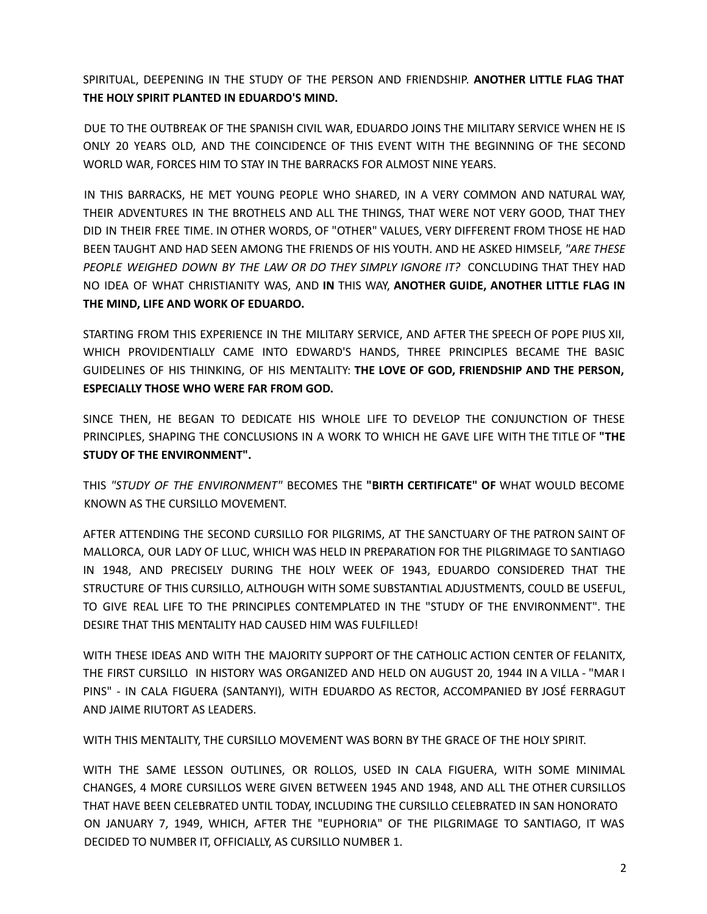SPIRITUAL, DEEPENING IN THE STUDY OF THE PERSON AND FRIENDSHIP. **ANOTHER LITTLE FLAG THAT THE HOLY SPIRIT PLANTED IN EDUARDO'S MIND.**

DUE TO THE OUTBREAK OF THE SPANISH CIVIL WAR, EDUARDO JOINS THE MILITARY SERVICE WHEN HE IS ONLY 20 YEARS OLD, AND THE COINCIDENCE OF THIS EVENT WITH THE BEGINNING OF THE SECOND WORLD WAR, FORCES HIM TO STAY IN THE BARRACKS FOR ALMOST NINE YEARS.

IN THIS BARRACKS, HE MET YOUNG PEOPLE WHO SHARED, IN A VERY COMMON AND NATURAL WAY, THEIR ADVENTURES IN THE BROTHELS AND ALL THE THINGS, THAT WERE NOT VERY GOOD, THAT THEY DID IN THEIR FREE TIME. IN OTHER WORDS, OF "OTHER" VALUES, VERY DIFFERENT FROM THOSE HE HAD BEEN TAUGHT AND HAD SEEN AMONG THE FRIENDS OF HIS YOUTH. AND HE ASKED HIMSELF, *"ARE THESE PEOPLE WEIGHED DOWN BY THE LAW OR DO THEY SIMPLY IGNORE IT?* CONCLUDING THAT THEY HAD NO IDEA OF WHAT CHRISTIANITY WAS, AND **IN** THIS WAY, **ANOTHER GUIDE, ANOTHER LITTLE FLAG IN THE MIND, LIFE AND WORK OF EDUARDO.**

STARTING FROM THIS EXPERIENCE IN THE MILITARY SERVICE, AND AFTER THE SPEECH OF POPE PIUS XII, WHICH PROVIDENTIALLY CAME INTO EDWARD'S HANDS, THREE PRINCIPLES BECAME THE BASIC GUIDELINES OF HIS THINKING, OF HIS MENTALITY: **THE LOVE OF GOD, FRIENDSHIP AND THE PERSON, ESPECIALLY THOSE WHO WERE FAR FROM GOD.**

SINCE THEN, HE BEGAN TO DEDICATE HIS WHOLE LIFE TO DEVELOP THE CONJUNCTION OF THESE PRINCIPLES, SHAPING THE CONCLUSIONS IN A WORK TO WHICH HE GAVE LIFE WITH THE TITLE OF **"THE STUDY OF THE ENVIRONMENT".**

THIS *"STUDY OF THE ENVIRONMENT"* BECOMES THE **"BIRTH CERTIFICATE" OF** WHAT WOULD BECOME KNOWN AS THE CURSILLO MOVEMENT.

AFTER ATTENDING THE SECOND CURSILLO FOR PILGRIMS, AT THE SANCTUARY OF THE PATRON SAINT OF MALLORCA, OUR LADY OF LLUC, WHICH WAS HELD IN PREPARATION FOR THE PILGRIMAGE TO SANTIAGO IN 1948, AND PRECISELY DURING THE HOLY WEEK OF 1943, EDUARDO CONSIDERED THAT THE STRUCTURE OF THIS CURSILLO, ALTHOUGH WITH SOME SUBSTANTIAL ADJUSTMENTS, COULD BE USEFUL, TO GIVE REAL LIFE TO THE PRINCIPLES CONTEMPLATED IN THE "STUDY OF THE ENVIRONMENT". THE DESIRE THAT THIS MENTALITY HAD CAUSED HIM WAS FULFILLED!

WITH THESE IDEAS AND WITH THE MAJORITY SUPPORT OF THE CATHOLIC ACTION CENTER OF FELANITX, THE FIRST CURSILLO IN HISTORY WAS ORGANIZED AND HELD ON AUGUST 20, 1944 IN A VILLA - "MAR I PINS" - IN CALA FIGUERA (SANTANYI), WITH EDUARDO AS RECTOR, ACCOMPANIED BY JOSÉ FERRAGUT AND JAIME RIUTORT AS LEADERS.

WITH THIS MENTALITY, THE CURSILLO MOVEMENT WAS BORN BY THE GRACE OF THE HOLY SPIRIT.

WITH THE SAME LESSON OUTLINES, OR ROLLOS, USED IN CALA FIGUERA, WITH SOME MINIMAL CHANGES, 4 MORE CURSILLOS WERE GIVEN BETWEEN 1945 AND 1948, AND ALL THE OTHER CURSILLOS THAT HAVE BEEN CELEBRATED UNTIL TODAY, INCLUDING THE CURSILLO CELEBRATED IN SAN HONORATO ON JANUARY 7, 1949, WHICH, AFTER THE "EUPHORIA" OF THE PILGRIMAGE TO SANTIAGO, IT WAS DECIDED TO NUMBER IT, OFFICIALLY, AS CURSILLO NUMBER 1.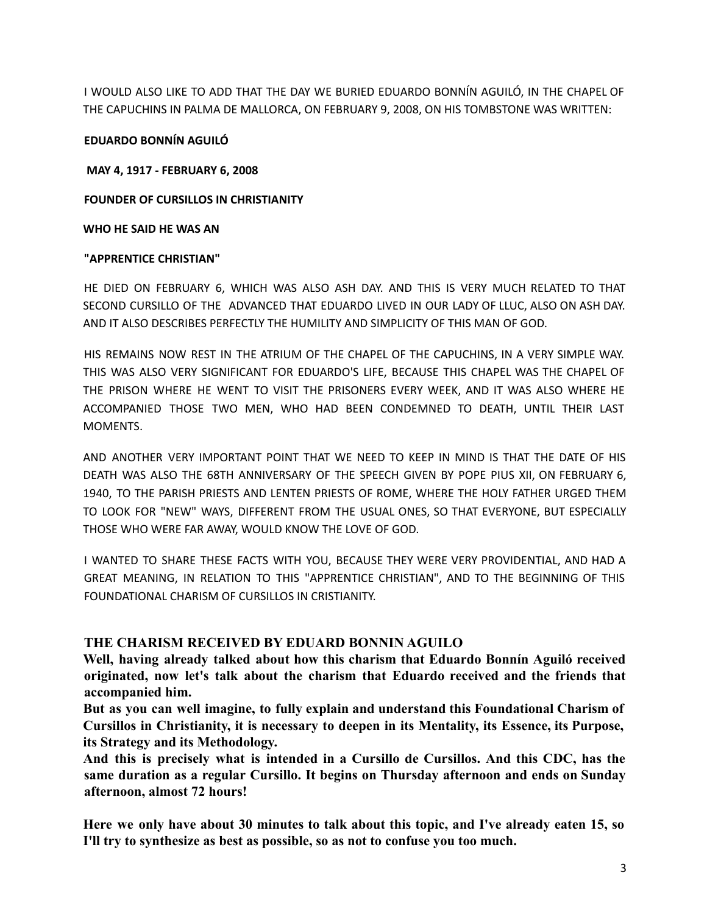I WOULD ALSO LIKE TO ADD THAT THE DAY WE BURIED EDUARDO BONNÍN AGUILÓ, IN THE CHAPEL OF THE CAPUCHINS IN PALMA DE MALLORCA, ON FEBRUARY 9, 2008, ON HIS TOMBSTONE WAS WRITTEN:

#### **EDUARDO BONNÍN AGUILÓ**

**MAY 4, 1917 - FEBRUARY 6, 2008**

**FOUNDER OF CURSILLOS IN CHRISTIANITY**

**WHO HE SAID HE WAS AN**

#### **"APPRENTICE CHRISTIAN"**

HE DIED ON FEBRUARY 6, WHICH WAS ALSO ASH DAY. AND THIS IS VERY MUCH RELATED TO THAT SECOND CURSILLO OF THE ADVANCED THAT EDUARDO LIVED IN OUR LADY OF LLUC, ALSO ON ASH DAY. AND IT ALSO DESCRIBES PERFECTLY THE HUMILITY AND SIMPLICITY OF THIS MAN OF GOD.

HIS REMAINS NOW REST IN THE ATRIUM OF THE CHAPEL OF THE CAPUCHINS, IN A VERY SIMPLE WAY. THIS WAS ALSO VERY SIGNIFICANT FOR EDUARDO'S LIFE, BECAUSE THIS CHAPEL WAS THE CHAPEL OF THE PRISON WHERE HE WENT TO VISIT THE PRISONERS EVERY WEEK, AND IT WAS ALSO WHERE HE ACCOMPANIED THOSE TWO MEN, WHO HAD BEEN CONDEMNED TO DEATH, UNTIL THEIR LAST MOMENTS.

AND ANOTHER VERY IMPORTANT POINT THAT WE NEED TO KEEP IN MIND IS THAT THE DATE OF HIS DEATH WAS ALSO THE 68TH ANNIVERSARY OF THE SPEECH GIVEN BY POPE PIUS XII, ON FEBRUARY 6, 1940, TO THE PARISH PRIESTS AND LENTEN PRIESTS OF ROME, WHERE THE HOLY FATHER URGED THEM TO LOOK FOR "NEW" WAYS, DIFFERENT FROM THE USUAL ONES, SO THAT EVERYONE, BUT ESPECIALLY THOSE WHO WERE FAR AWAY, WOULD KNOW THE LOVE OF GOD.

I WANTED TO SHARE THESE FACTS WITH YOU, BECAUSE THEY WERE VERY PROVIDENTIAL, AND HAD A GREAT MEANING, IN RELATION TO THIS "APPRENTICE CHRISTIAN", AND TO THE BEGINNING OF THIS FOUNDATIONAL CHARISM OF CURSILLOS IN CRISTIANITY.

#### **THE CHARISM RECEIVED BY EDUARD BONNIN AGUILO**

**Well, having already talked about how this charism that Eduardo Bonnín Aguiló received originated, now let's talk about the charism that Eduardo received and the friends that accompanied him.**

**But as you can well imagine, to fully explain and understand this Foundational Charism of Cursillos in Christianity, it is necessary to deepen in its Mentality, its Essence, its Purpose, its Strategy and its Methodology.**

**And this is precisely what is intended in a Cursillo de Cursillos. And this CDC, has the same duration as a regular Cursillo. It begins on Thursday afternoon and ends on Sunday afternoon, almost 72 hours!**

**Here we only have about 30 minutes to talk about this topic, and I've already eaten 15, so I'll try to synthesize as best as possible, so as not to confuse you too much.**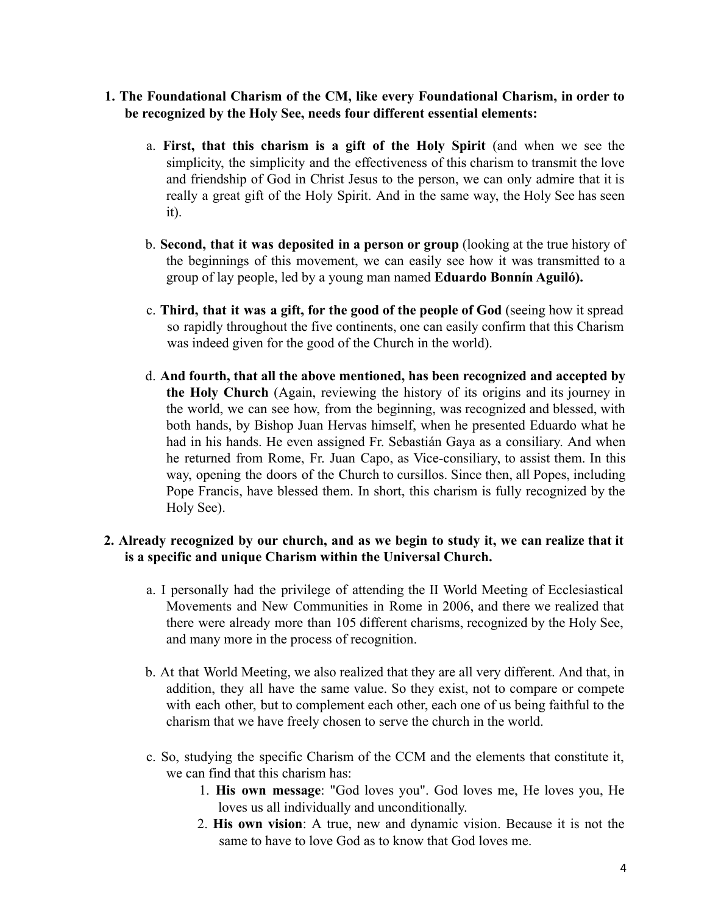- **1. The Foundational Charism of the CM, like every Foundational Charism, in order to be recognized by the Holy See, needs four different essential elements:**
	- a. **First, that this charism is a gift of the Holy Spirit** (and when we see the simplicity, the simplicity and the effectiveness of this charism to transmit the love and friendship of God in Christ Jesus to the person, we can only admire that it is really a great gift of the Holy Spirit. And in the same way, the Holy See has seen it).
	- b. **Second, that it was deposited in a person or group** (looking at the true history of the beginnings of this movement, we can easily see how it was transmitted to a group of lay people, led by a young man named **Eduardo Bonnín Aguiló).**
	- c. **Third, that it was a gift, for the good of the people of God** (seeing how it spread so rapidly throughout the five continents, one can easily confirm that this Charism was indeed given for the good of the Church in the world).
	- d. **And fourth, that all the above mentioned, has been recognized and accepted by the Holy Church** (Again, reviewing the history of its origins and its journey in the world, we can see how, from the beginning, was recognized and blessed, with both hands, by Bishop Juan Hervas himself, when he presented Eduardo what he had in his hands. He even assigned Fr. Sebastián Gaya as a consiliary. And when he returned from Rome, Fr. Juan Capo, as Vice-consiliary, to assist them. In this way, opening the doors of the Church to cursillos. Since then, all Popes, including Pope Francis, have blessed them. In short, this charism is fully recognized by the Holy See).

### **2. Already recognized by our church, and as we begin to study it, we can realize that it is a specific and unique Charism within the Universal Church.**

- a. I personally had the privilege of attending the II World Meeting of Ecclesiastical Movements and New Communities in Rome in 2006, and there we realized that there were already more than 105 different charisms, recognized by the Holy See, and many more in the process of recognition.
- b. At that World Meeting, we also realized that they are all very different. And that, in addition, they all have the same value. So they exist, not to compare or compete with each other, but to complement each other, each one of us being faithful to the charism that we have freely chosen to serve the church in the world.
- c. So, studying the specific Charism of the CCM and the elements that constitute it, we can find that this charism has:
	- 1. **His own message**: "God loves you". God loves me, He loves you, He loves us all individually and unconditionally.
	- 2. **His own vision**: A true, new and dynamic vision. Because it is not the same to have to love God as to know that God loves me.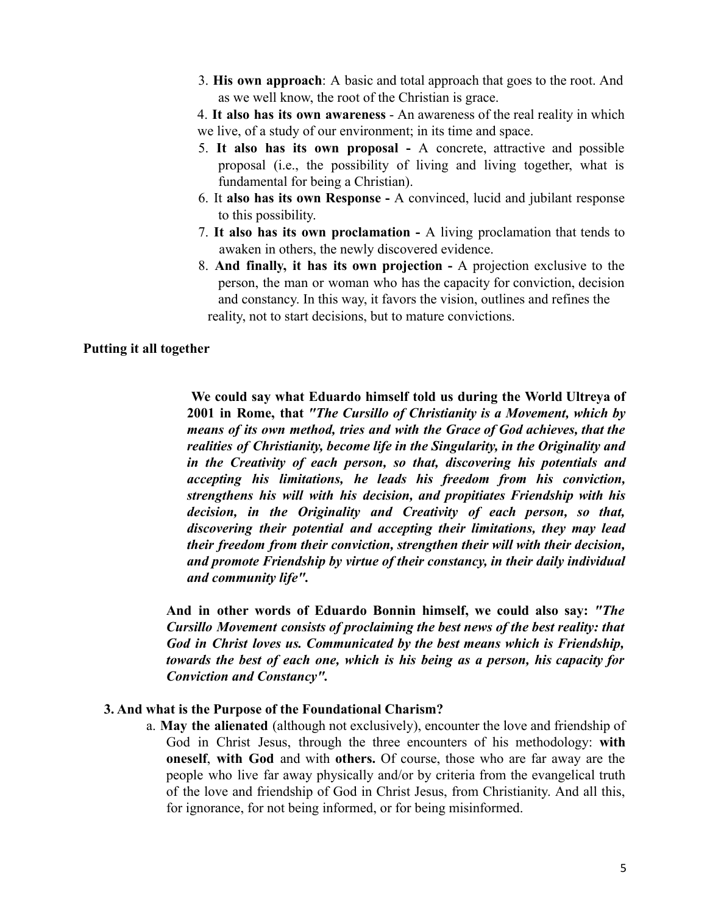3. **His own approach**: A basic and total approach that goes to the root. And as we well know, the root of the Christian is grace.

4. **It also has its own awareness** - An awareness of the real reality in which we live, of a study of our environment; in its time and space.

- 5. **It also has its own proposal -** A concrete, attractive and possible proposal (i.e., the possibility of living and living together, what is fundamental for being a Christian).
- 6. It **also has its own Response -** A convinced, lucid and jubilant response to this possibility.
- 7. **It also has its own proclamation -** A living proclamation that tends to awaken in others, the newly discovered evidence.
- 8. **And finally, it has its own projection -** A projection exclusive to the person, the man or woman who has the capacity for conviction, decision and constancy. In this way, it favors the vision, outlines and refines the reality, not to start decisions, but to mature convictions.

#### **Putting it all together**

**We could say what Eduardo himself told us during the World Ultreya of 2001 in Rome, that** *"The Cursillo of Christianity is a Movement, which by means of its own method, tries and with the Grace of God achieves, that the realities of Christianity, become life in the Singularity, in the Originality and in the Creativity of each person, so that, discovering his potentials and accepting his limitations, he leads his freedom from his conviction, strengthens his will with his decision, and propitiates Friendship with his decision, in the Originality and Creativity of each person, so that, discovering their potential and accepting their limitations, they may lead their freedom from their conviction, strengthen their will with their decision, and promote Friendship by virtue of their constancy, in their daily individual and community life".*

**And in other words of Eduardo Bonnin himself, we could also say:** *"The Cursillo Movement consists of proclaiming the best news of the best reality: that God in Christ loves us. Communicated by the best means which is Friendship, towards the best of each one, which is his being as a person, his capacity for Conviction and Constancy".*

#### **3. And what is the Purpose of the Foundational Charism?**

a. **May the alienated** (although not exclusively), encounter the love and friendship of God in Christ Jesus, through the three encounters of his methodology: **with oneself**, **with God** and with **others.** Of course, those who are far away are the people who live far away physically and/or by criteria from the evangelical truth of the love and friendship of God in Christ Jesus, from Christianity. And all this, for ignorance, for not being informed, or for being misinformed.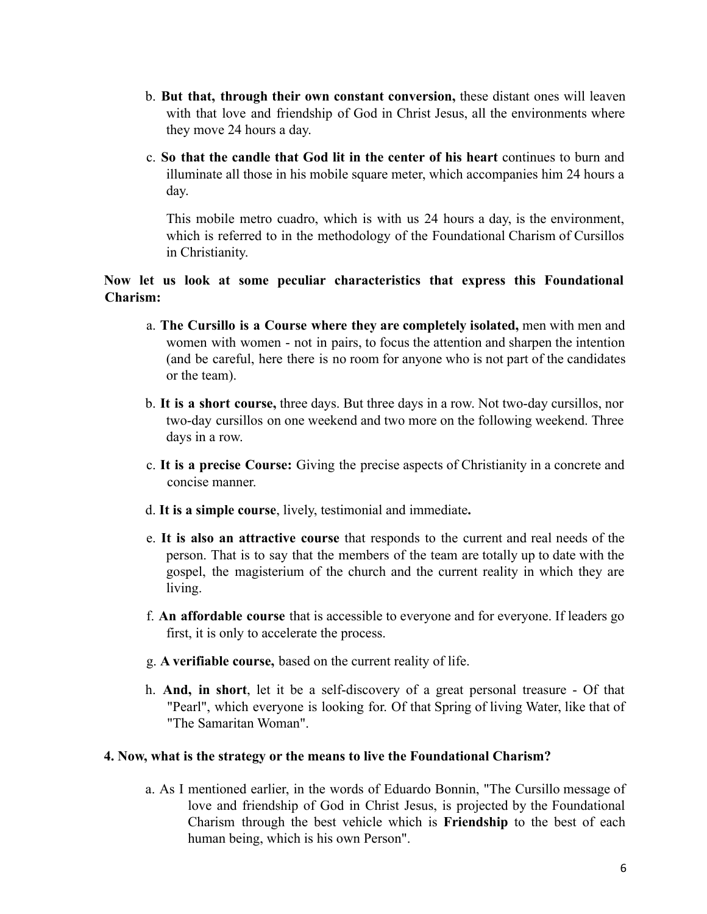- b. **But that, through their own constant conversion,** these distant ones will leaven with that love and friendship of God in Christ Jesus, all the environments where they move 24 hours a day.
- c. **So that the candle that God lit in the center of his heart** continues to burn and illuminate all those in his mobile square meter, which accompanies him 24 hours a day.

This mobile metro cuadro, which is with us 24 hours a day, is the environment, which is referred to in the methodology of the Foundational Charism of Cursillos in Christianity.

### **Now let us look at some peculiar characteristics that express this Foundational Charism:**

- a. **The Cursillo is a Course where they are completely isolated,** men with men and women with women - not in pairs, to focus the attention and sharpen the intention (and be careful, here there is no room for anyone who is not part of the candidates or the team).
- b. **It is a short course,** three days. But three days in a row. Not two-day cursillos, nor two-day cursillos on one weekend and two more on the following weekend. Three days in a row.
- c. **It is a precise Course:** Giving the precise aspects of Christianity in a concrete and concise manner.
- d. **It is a simple course**, lively, testimonial and immediate**.**
- e. **It is also an attractive course** that responds to the current and real needs of the person. That is to say that the members of the team are totally up to date with the gospel, the magisterium of the church and the current reality in which they are living.
- f. **An affordable course** that is accessible to everyone and for everyone. If leaders go first, it is only to accelerate the process.
- g. **A verifiable course,** based on the current reality of life.
- h. **And, in short**, let it be a self-discovery of a great personal treasure Of that "Pearl", which everyone is looking for. Of that Spring of living Water, like that of "The Samaritan Woman".

### **4. Now, what is the strategy or the means to live the Foundational Charism?**

a. As I mentioned earlier, in the words of Eduardo Bonnin, "The Cursillo message of love and friendship of God in Christ Jesus, is projected by the Foundational Charism through the best vehicle which is **Friendship** to the best of each human being, which is his own Person".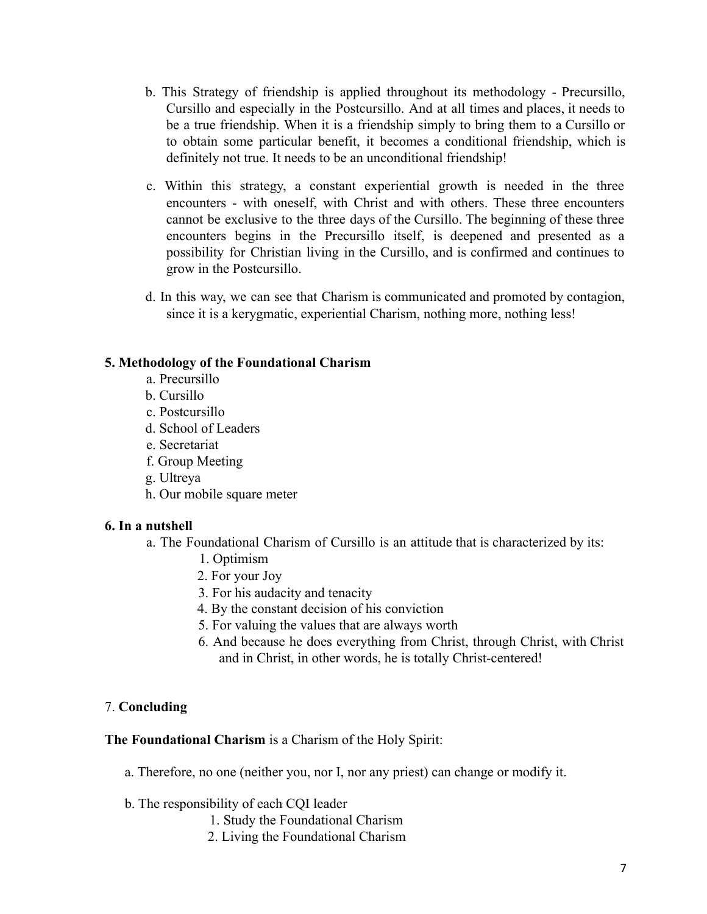- b. This Strategy of friendship is applied throughout its methodology Precursillo, Cursillo and especially in the Postcursillo. And at all times and places, it needs to be a true friendship. When it is a friendship simply to bring them to a Cursillo or to obtain some particular benefit, it becomes a conditional friendship, which is definitely not true. It needs to be an unconditional friendship!
- c. Within this strategy, a constant experiential growth is needed in the three encounters - with oneself, with Christ and with others. These three encounters cannot be exclusive to the three days of the Cursillo. The beginning of these three encounters begins in the Precursillo itself, is deepened and presented as a possibility for Christian living in the Cursillo, and is confirmed and continues to grow in the Postcursillo.
- d. In this way, we can see that Charism is communicated and promoted by contagion, since it is a kerygmatic, experiential Charism, nothing more, nothing less!

### **5. Methodology of the Foundational Charism**

- a. Precursillo
- b. Cursillo
- c. Postcursillo
- d. School of Leaders
- e. Secretariat
- f. Group Meeting
- g. Ultreya
- h. Our mobile square meter

# **6. In a nutshell**

- a. The Foundational Charism of Cursillo is an attitude that is characterized by its:
	- 1. Optimism
	- 2. For your Joy
	- 3. For his audacity and tenacity
	- 4. By the constant decision of his conviction
	- 5. For valuing the values that are always worth
	- 6. And because he does everything from Christ, through Christ, with Christ and in Christ, in other words, he is totally Christ-centered!

# 7. **Concluding**

**The Foundational Charism** is a Charism of the Holy Spirit:

- a. Therefore, no one (neither you, nor I, nor any priest) can change or modify it.
- b. The responsibility of each CQI leader
	- 1. Study the Foundational Charism
	- 2. Living the Foundational Charism